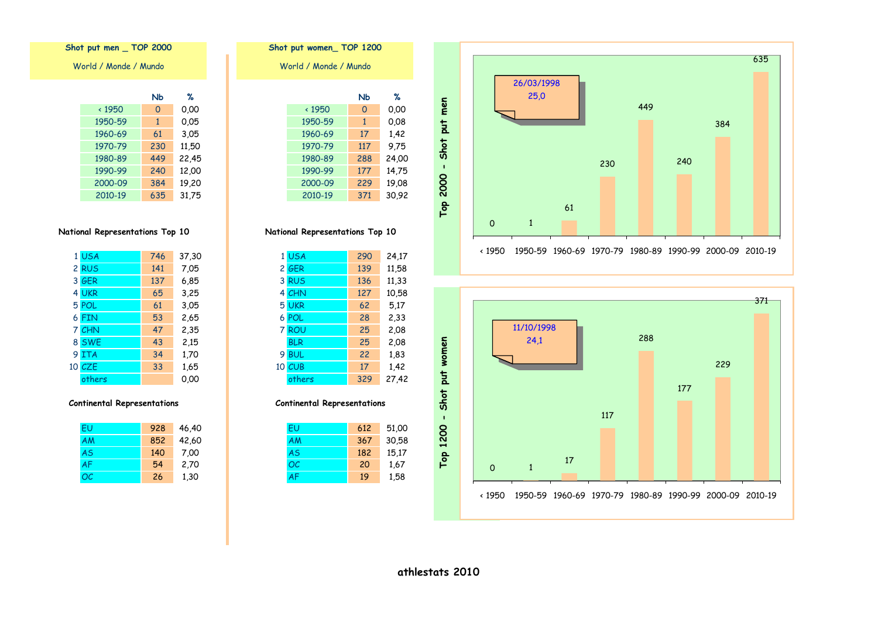



**Nb % Nb %** < 1950 0 0,00 < 1950 0 0,00 1950-59 1 0,05 1950-59 1 0,08 1960-69 17 1,42 1970-79 230 11,50 1970-79 117 9,75 1980-89 449 22,45 1980-89 288 24,00 1990-99 177 14,75 World / Monde / Mundo **Shot put women\_ TOP 1200**

**National Representations Top 10**

2010-19 371 30,92

| 1 USA  | 746 | 37,30 | 1 USA         | 290 | 24,17 |
|--------|-----|-------|---------------|-----|-------|
| 2 RUS  | 141 | 7,05  | 2 GER         | 139 | 11,58 |
| 3 GER  | 137 | 6,85  | 3 RUS         | 136 | 11,33 |
| 4 UKR  | 65  | 3,25  | 4 CHN         | 127 | 10,58 |
| 5 POL  | 61  | 3,05  | 5 UKR         | 62  | 5,17  |
| 6 FIN  | 53  | 2,65  | 6 POL         | 28  | 2,33  |
| 7 CHN  | 47  | 2,35  | 7 ROU         | 25  | 2,08  |
| 8 SWE  | 43  | 2,15  | <b>BLR</b>    | 25  | 2,08  |
| 9 ITA  | 34  | 1,70  | 9 BUL         | 22  | 1,83  |
| 10 CZE | 33  | 1,65  | <b>10 CUB</b> | 17  | 1,42  |
| others |     | 0,00  | others        | 329 | 27,42 |

### **Continental Representations**

| EU | 928 | 46,40 | ΕL        | 612 |
|----|-----|-------|-----------|-----|
| ΑM | 852 | 42,60 | AM        | 367 |
| AS | 140 | 7,00  | <b>AS</b> | 182 |
| AF | 54  | 2,70  | OC        | 20  |
| ОC | 26  | 1,30  | <b>AF</b> | 19  |

# **Shot put men \_ TOP 2000**

World / Monde / Mundo

|              | <b>Nb</b>   | %     |
|--------------|-------------|-------|
| $\cdot$ 1950 | $\mathbf 0$ | 0.00  |
| 1950-59      | 1           | 0,05  |
| 1960-69      | 61          | 3,05  |
| 1970-79      | 230         | 11,50 |
| 1980-89      | 449         | 22,45 |
| 1990-99      | 240         | 12,00 |
| 2000-09      | 384         | 19,20 |
| 2010-19      | 635         | 31.75 |

### **National Representations Top 10**

| 1 USA  | 746 | 37,30 |
|--------|-----|-------|
| 2 RUS  | 141 | 7,05  |
| 3 GER  | 137 | 6,85  |
| 4 UKR  | 65  | 3,25  |
| 5 POL  | 61  | 3,05  |
| 6 FIN  | 53  | 2,65  |
| 7 CHN  | 47  | 2,35  |
| 8 SWE  | 43  | 2,15  |
| 9 ITA  | 34  | 1,70  |
| 10 CZE | 33  | 1,65  |
| others |     | 0.00  |

| FU        | 928 | 46,40 |
|-----------|-----|-------|
| AM        | 852 | 42,60 |
| <b>AS</b> | 140 | 7,00  |
| <b>AF</b> | 54  | 2,70  |
| OC.       | 26  | 1,30  |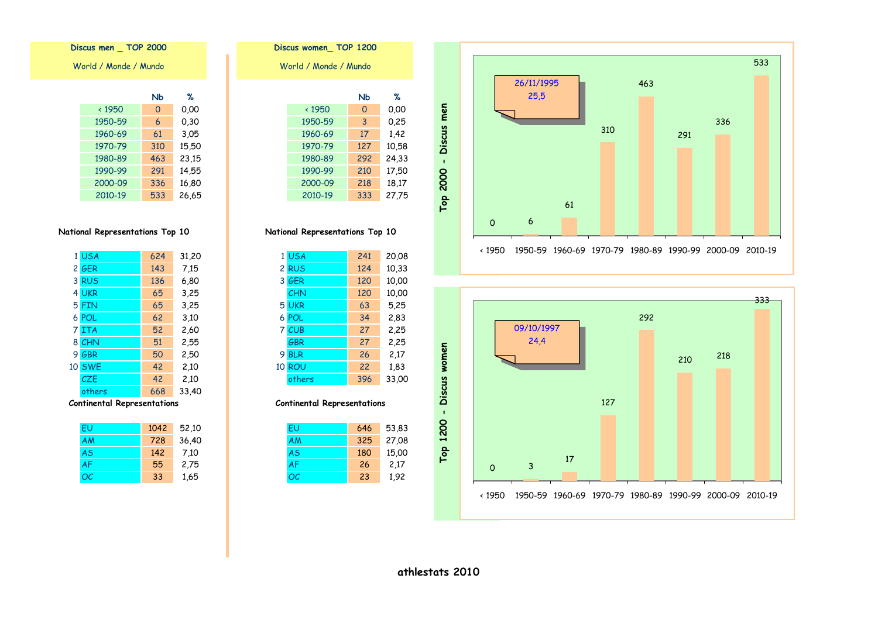



#### Discus women\_TOP 1200 World / Monde / Mundo  $%$ **N<sub>b</sub>**  $\times$  1950  $\overline{0}$  $0.00$  $0,25$ 1950-59  $\overline{3}$ 17 1960-69 1,42 1970-79 127 10,58 24,33 1980-89 292 17,50 1990-99 210 2000-09 218 18,17

333 27,75

National Representations Top 10

2010-19

|   | 1 USA      | 241 | 20,08 |
|---|------------|-----|-------|
|   | 2 RUS      | 124 | 10,33 |
|   | 3 GER      | 120 | 10,00 |
|   | <b>CHN</b> | 120 | 10,00 |
|   | 5 UKR      | 63  | 5,25  |
|   | 6 POL      | 34  | 2,83  |
|   | 7 CUB      | 27  | 2,25  |
|   | <b>GBR</b> | 27  | 2,25  |
| 9 | <b>BLR</b> | 26  | 2,17  |
|   | 10 ROU     | 22  | 1,83  |
|   | others     | 396 | 33,00 |

### **Continental Representations**

| EU        | 646 | 53,83 |
|-----------|-----|-------|
| AM        | 325 | 27,08 |
| <b>AS</b> | 180 | 15,00 |
| AF        | 26  | 2,17  |
| ОC        | 23  | 1,92  |

### Discus men \_ TOP 2000

World / Monde / Mundo

|               | NЬ  | ℅     |
|---------------|-----|-------|
| $\times$ 1950 | 0   | 0.00  |
| 1950-59       | 6   | 0,30  |
| 1960-69       | 61  | 3,05  |
| 1970-79       | 310 | 15,50 |
| 1980-89       | 463 | 23,15 |
| 1990-99       | 291 | 14,55 |
| 2000-09       | 336 | 16,80 |
| 2010-19       | 533 | 26,65 |

### National Representations Top 10

|   | 1 USA         | 624 | 31,20 |
|---|---------------|-----|-------|
|   | 2 GER         | 143 | 7,15  |
|   | 3 RUS         | 136 | 6,80  |
|   | 4 UKR         | 65  | 3,25  |
|   | 5 FIN         | 65  | 3,25  |
|   | 6 POL         | 62  | 3,10  |
|   | 7 ITA         | 52  | 2,60  |
|   | 8 CHN         | 51  | 2,55  |
| 9 | GBR           | 50  | 2,50  |
|   | <b>10 SWE</b> | 42  | 2,10  |
|   | CZE           | 42  | 2,10  |
|   | others        | 668 | 33,40 |
|   |               |     |       |

| FU        | 1042 | 52,10 |
|-----------|------|-------|
| AM        | 728  | 36,40 |
| <b>AS</b> | 142  | 7,10  |
| <b>AF</b> | 55   | 2,75  |
| OC        | 33   | 1,65  |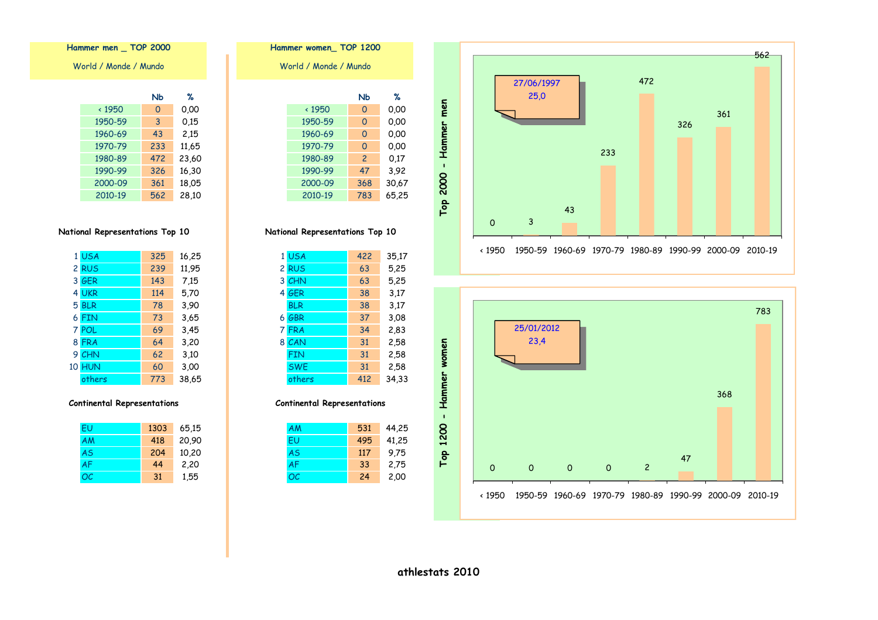



| Hammer women TOP 1200 |                |       |  |  |  |  |
|-----------------------|----------------|-------|--|--|--|--|
| World / Monde / Mundo |                |       |  |  |  |  |
|                       |                |       |  |  |  |  |
|                       | Nb             | %     |  |  |  |  |
| $\cdot$ 1950          | O              | 0.00  |  |  |  |  |
| 1950-59               | 0              | 0.00  |  |  |  |  |
| 1960-69               | 0              | 0.00  |  |  |  |  |
| 1970-79               | $\Omega$       | 0.00  |  |  |  |  |
| 1980-89               | $\overline{2}$ | 0.17  |  |  |  |  |
| 1990-99               | 47             | 3,92  |  |  |  |  |
| 2000-09               | 368            | 30,67 |  |  |  |  |
| 2010-19               | 783            | 65,25 |  |  |  |  |

| 1 USA      | 422 | 35,17 |
|------------|-----|-------|
| 2 RUS      | 63  | 5,25  |
| 3 CHN      | 63  | 5,25  |
| 4 GER      | 38  | 3.17  |
| <b>BLR</b> | 38  | 3.17  |
| 6 GBR      | 37  | 3.08  |
| 7 FRA      | 34  | 2,83  |
| 8 CAN      | 31  | 2,58  |
| <b>FIN</b> | 31  | 2,58  |
| <b>SWE</b> | 31  | 2,58  |
| others     | 412 | 34,33 |

#### **Continental Representations**

| AM | 531 | 44,25 |
|----|-----|-------|
| FU | 495 | 41,25 |
| AS | 117 | 9.75  |
| AF | 33  | 2,75  |
| ОC | 24  | 2,00  |

## Hammer men \_ TOP 2000

World / Monde / Mundo

|              | NЬ  | ℅     |
|--------------|-----|-------|
| $\cdot$ 1950 | 0   | 0.00  |
| 1950-59      | 3   | 0.15  |
| 1960-69      | 43  | 2,15  |
| 1970-79      | 233 | 11,65 |
| 1980-89      | 472 | 23,60 |
| 1990-99      | 326 | 16,30 |
| 2000-09      | 361 | 18,05 |
| 2010-19      | 562 | 28.10 |

### National Representations Top 10

| 1 USA         | 325 | 16,25 |
|---------------|-----|-------|
| 2 RUS         | 239 | 11,95 |
| 3 GER         | 143 | 7.15  |
| 4 UKR         | 114 | 5,70  |
| 5 BLR         | 78  | 3,90  |
| 6 FIN         | 73  | 3,65  |
| 7 POL         | 69  | 3,45  |
| 8 FRA         | 64  | 3,20  |
| 9 CHN         | 62  | 3,10  |
| <b>10 HUN</b> | 60  | 3,00  |
| others        | 773 | 38,65 |

| FU        | 1303 | 65,15 |
|-----------|------|-------|
| AM        | 418  | 20,90 |
| <b>AS</b> | 204  | 10,20 |
| <b>AF</b> | 44   | 2,20  |
| OC.       | 31   | 1,55  |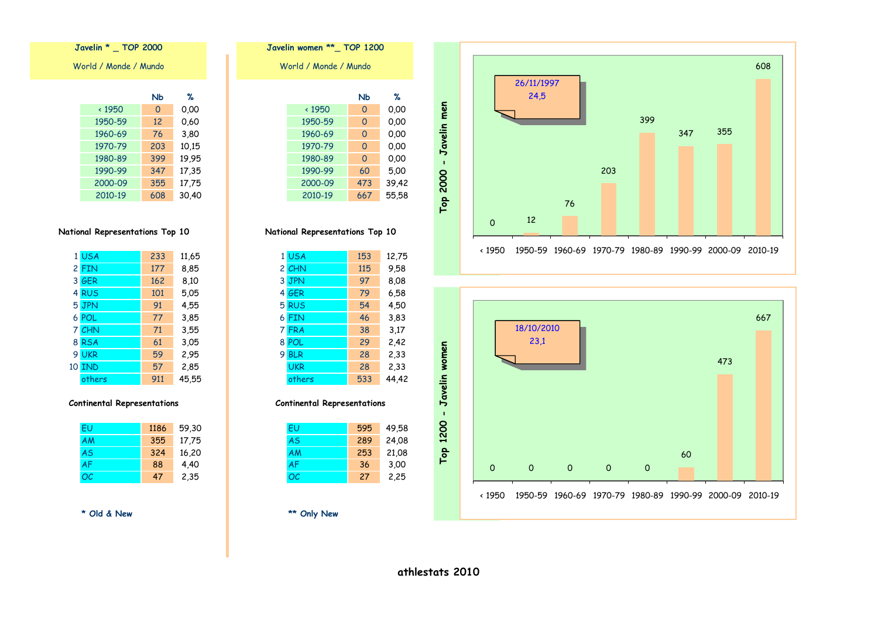





| 1 USA         | 233 | 11,65 | 1 USA      | 153 | 12,75 |
|---------------|-----|-------|------------|-----|-------|
| 2 FIN         | 177 | 8,85  | 2 CHN      | 115 | 9,58  |
| 3 GER         | 162 | 8,10  | 3 JPN      | 97  | 8,08  |
| 4 RUS         | 101 | 5,05  | 4 GER      | 79  | 6,58  |
| 5 JPN         | 91  | 4,55  | 5 RUS      | 54  | 4,50  |
| 6 POL         | 77  | 3,85  | 6 FIN      | 46  | 3,83  |
| 7 CHN         | 71  | 3,55  | 7 FRA      | 38  | 3,17  |
| 8 RSA         | 61  | 3,05  | 8 POL      | 29  | 2,42  |
| 9 UKR         | 59  | 2,95  | 9 BLR      | 28  | 2,33  |
| <b>10 IND</b> | 57  | 2,85  | <b>UKR</b> | 28  | 2,33  |
| others        | 911 | 45,55 | others     | 533 | 44,42 |

#### **Continental Representations**

| EU | 1186 | 59,30 | EU        | 595 |
|----|------|-------|-----------|-----|
| ΑM | 355  | 17,75 | <b>AS</b> | 289 |
| AS | 324  | 16,20 | AM        | 253 |
| AF | 88   | 4,40  | <b>AF</b> | 36  |
| ОC | 47   | 2,35  | OC        | 27  |

### **\* Old & New \*\* Only New**

World / Monde / Mundo **Javelin \* \_ TOP 2000 Javelin women \*\*\_ TOP 1200**

|               | NЬ  | ℅     |
|---------------|-----|-------|
| $\times$ 1950 | 0   | 0,00  |
| 1950-59       | 12  | 0.60  |
| 1960-69       | 76  | 3,80  |
| 1970-79       | 203 | 10,15 |
| 1980-89       | 399 | 19.95 |
| 1990-99       | 347 | 17,35 |
| 2000-09       | 355 | 17,75 |
| 2010-19       | 608 | 30.40 |

### **National Representations Top 10**

|   | 1 USA         | 233 | 11,65 |
|---|---------------|-----|-------|
|   | 2 FIN         | 177 | 8,85  |
|   | 3 GER         | 162 | 8,10  |
|   | 4 RUS         | 101 | 5.05  |
|   | 5 JPN         | 91  | 4,55  |
|   | 6 POL         | 77  | 3,85  |
|   | 7 CHN         | 71  | 3,55  |
| 8 | <b>RSA</b>    | 61  | 3,05  |
| 9 | <b>UKR</b>    | 59  | 2,95  |
|   | <b>10 IND</b> | 57  | 2,85  |
|   | others        | 911 | 45,55 |

#### **Continental Representations**

| FU        | 1186 | 59,30 |
|-----------|------|-------|
| <b>AM</b> | 355  | 17,75 |
| <b>AS</b> | 324  | 16,20 |
| <b>AF</b> | 88   | 4,40  |
| OC        | 47   | 2,35  |

**athlestats 2010**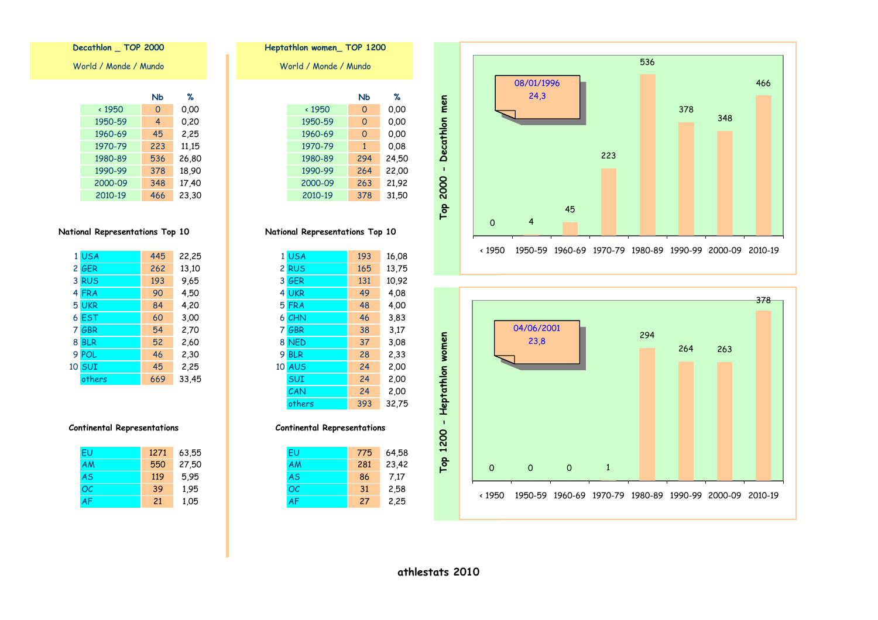



|                       | Heptathlon women_TOP 1200 |          |       |  |  |
|-----------------------|---------------------------|----------|-------|--|--|
| World / Monde / Mundo |                           |          |       |  |  |
|                       |                           |          |       |  |  |
|                       |                           | Nb       | ℅     |  |  |
|                       | $\times$ 1950             | 0        | 0.00  |  |  |
|                       | 1950-59                   | $\Omega$ | 0.00  |  |  |
|                       | 1960-69                   | $\Omega$ | 0,00  |  |  |
|                       | 1970-79                   | 1        | 0.08  |  |  |
|                       | 1980-89                   | 294      | 24,50 |  |  |
|                       | 1990-99                   | 264      | 22,00 |  |  |
|                       | 2000-09                   | 263      | 21,92 |  |  |
|                       | 2010-19                   | 378      | 31.50 |  |  |

| 1  | <b>USA</b> | 193 | 16,08 |
|----|------------|-----|-------|
|    | 2 RUS      | 165 | 13,75 |
| 3  | GER        | 131 | 10,92 |
| 4  | <b>UKR</b> | 49  | 4.08  |
|    | 5 FRA      | 48  | 4,00  |
|    | 6 CHN      | 46  | 3,83  |
| 7  | GBR        | 38  | 3,17  |
| 8  | <b>NED</b> | 37  | 3.08  |
| 9  | <b>BLR</b> | 28  | 2,33  |
| 10 | <b>AUS</b> | 24  | 2,00  |
|    | <b>SUI</b> | 24  | 2,00  |
|    | CAN        | 24  | 2,00  |
|    | others     | 393 | 32,75 |
|    |            |     |       |

### **Continental Representations**

| FU | 775 | 64,58 |
|----|-----|-------|
| AM | 281 | 23,42 |
| AS | 86  | 7,17  |
| ОC | 31  | 2,58  |
|    | 27  | 2,25  |

Decathlon \_ TOP 2000

World / Monde / Mundo

|               | Nb  | ℅     |
|---------------|-----|-------|
| $\times$ 1950 | 0   | 0.00  |
| 1950-59       | 4   | 0.20  |
| 1960-69       | 45  | 2,25  |
| 1970-79       | 223 | 11,15 |
| 1980-89       | 536 | 26,80 |
| 1990-99       | 378 | 18,90 |
| 2000-09       | 348 | 17,40 |
| 2010-19       | 466 | 23.30 |

### National Representations Top 10

| 1 USA  | 445 | 22,25 |
|--------|-----|-------|
| 2 GER  | 262 | 13,10 |
| 3 RUS  | 193 | 9,65  |
| 4 FRA  | 90  | 4,50  |
| 5 UKR  | 84  | 4,20  |
| 6 EST  | 60  | 3,00  |
| 7 GBR  | 54  | 2,70  |
| 8 BLR  | 52  | 2,60  |
| 9 POL  | 46  | 2,30  |
| 10 SUI | 45  | 2,25  |
| others | 669 | 33,45 |
|        |     |       |

### **Continental Representations**

| FU        | 1271 | 63,55 |
|-----------|------|-------|
| AM        | 550  | 27.50 |
| AS        | 119  | 5.95  |
| OC        | 39   | 1.95  |
| <b>AF</b> | 21   | 1,05  |

athlestats 2010